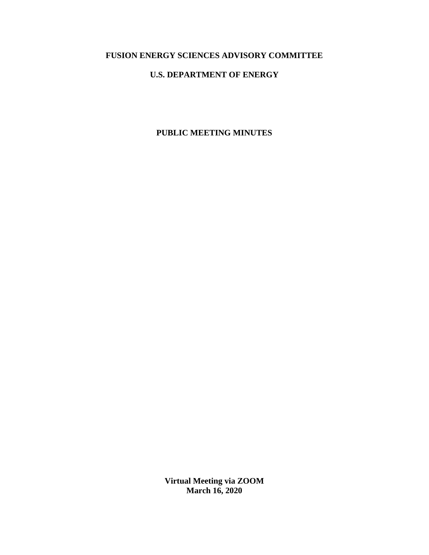# **FUSION ENERGY SCIENCES ADVISORY COMMITTEE**

# **U.S. DEPARTMENT OF ENERGY**

# **PUBLIC MEETING MINUTES**

**Virtual Meeting via ZOOM March 16, 2020**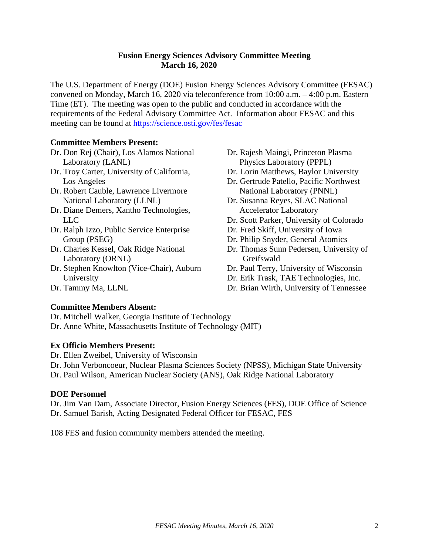# **Fusion Energy Sciences Advisory Committee Meeting March 16, 2020**

The U.S. Department of Energy (DOE) Fusion Energy Sciences Advisory Committee (FESAC) convened on Monday, March 16, 2020 via teleconference from 10:00 a.m. – 4:00 p.m. Eastern Time (ET). The meeting was open to the public and conducted in accordance with the requirements of the Federal Advisory Committee Act. Information about FESAC and this meeting can be found at<https://science.osti.gov/fes/fesac>

## **Committee Members Present:**

- Dr. Don Rej (Chair), Los Alamos National Laboratory (LANL)
- Dr. Troy Carter, University of California, Los Angeles
- Dr. Robert Cauble, Lawrence Livermore National Laboratory (LLNL)
- Dr. Diane Demers, Xantho Technologies, LLC
- Dr. Ralph Izzo, Public Service Enterprise Group (PSEG)
- Dr. Charles Kessel, Oak Ridge National Laboratory (ORNL)
- Dr. Stephen Knowlton (Vice-Chair), Auburn University
- Dr. Rajesh Maingi, Princeton Plasma Physics Laboratory (PPPL)
- Dr. Lorin Matthews, Baylor University
- Dr. Gertrude Patello, Pacific Northwest National Laboratory (PNNL)
- Dr. Susanna Reyes, SLAC National Accelerator Laboratory
- Dr. Scott Parker, University of Colorado
- Dr. Fred Skiff, University of Iowa
- Dr. Philip Snyder, General Atomics
- Dr. Thomas Sunn Pedersen, University of Greifswald
- Dr. Paul Terry, University of Wisconsin
- Dr. Erik Trask, TAE Technologies, Inc.
- Dr. Brian Wirth, University of Tennessee

# Dr. Tammy Ma, LLNL

## **Committee Members Absent:**

Dr. Mitchell Walker, Georgia Institute of Technology Dr. Anne White, Massachusetts Institute of Technology (MIT)

## **Ex Officio Members Present:**

Dr. Ellen Zweibel, University of Wisconsin

Dr. John Verboncoeur, Nuclear Plasma Sciences Society (NPSS), Michigan State University Dr. Paul Wilson, American Nuclear Society (ANS), Oak Ridge National Laboratory

## **DOE Personnel**

Dr. Jim Van Dam, Associate Director, Fusion Energy Sciences (FES), DOE Office of Science Dr. Samuel Barish, Acting Designated Federal Officer for FESAC, FES

108 FES and fusion community members attended the meeting.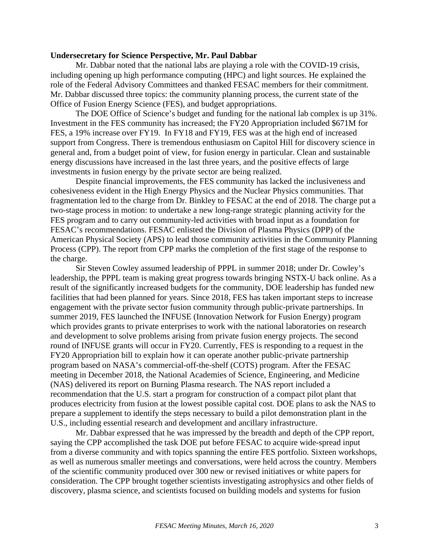## **Undersecretary for Science Perspective, Mr. Paul Dabbar**

Mr. Dabbar noted that the national labs are playing a role with the COVID-19 crisis, including opening up high performance computing (HPC) and light sources. He explained the role of the Federal Advisory Committees and thanked FESAC members for their commitment. Mr. Dabbar discussed three topics: the community planning process, the current state of the Office of Fusion Energy Science (FES), and budget appropriations.

The DOE Office of Science's budget and funding for the national lab complex is up 31%. Investment in the FES community has increased; the FY20 Appropriation included \$671M for FES, a 19% increase over FY19. In FY18 and FY19, FES was at the high end of increased support from Congress. There is tremendous enthusiasm on Capitol Hill for discovery science in general and, from a budget point of view, for fusion energy in particular. Clean and sustainable energy discussions have increased in the last three years, and the positive effects of large investments in fusion energy by the private sector are being realized.

Despite financial improvements, the FES community has lacked the inclusiveness and cohesiveness evident in the High Energy Physics and the Nuclear Physics communities. That fragmentation led to the charge from Dr. Binkley to FESAC at the end of 2018. The charge put a two-stage process in motion: to undertake a new long-range strategic planning activity for the FES program and to carry out community-led activities with broad input as a foundation for FESAC's recommendations. FESAC enlisted the Division of Plasma Physics (DPP) of the American Physical Society (APS) to lead those community activities in the Community Planning Process (CPP). The report from CPP marks the completion of the first stage of the response to the charge.

Sir Steven Cowley assumed leadership of PPPL in summer 2018; under Dr. Cowley's leadership, the PPPL team is making great progress towards bringing NSTX-U back online. As a result of the significantly increased budgets for the community, DOE leadership has funded new facilities that had been planned for years. Since 2018, FES has taken important steps to increase engagement with the private sector fusion community through public-private partnerships. In summer 2019, FES launched the INFUSE (Innovation Network for Fusion Energy) program which provides grants to private enterprises to work with the national laboratories on research and development to solve problems arising from private fusion energy projects. The second round of INFUSE grants will occur in FY20. Currently, FES is responding to a request in the FY20 Appropriation bill to explain how it can operate another public-private partnership program based on NASA's commercial-off-the-shelf (COTS) program. After the FESAC meeting in December 2018, the National Academies of Science, Engineering, and Medicine (NAS) delivered its report on Burning Plasma research. The NAS report included a recommendation that the U.S. start a program for construction of a compact pilot plant that produces electricity from fusion at the lowest possible capital cost. DOE plans to ask the NAS to prepare a supplement to identify the steps necessary to build a pilot demonstration plant in the U.S., including essential research and development and ancillary infrastructure.

Mr. Dabbar expressed that he was impressed by the breadth and depth of the CPP report, saying the CPP accomplished the task DOE put before FESAC to acquire wide-spread input from a diverse community and with topics spanning the entire FES portfolio. Sixteen workshops, as well as numerous smaller meetings and conversations, were held across the country. Members of the scientific community produced over 300 new or revised initiatives or white papers for consideration. The CPP brought together scientists investigating astrophysics and other fields of discovery, plasma science, and scientists focused on building models and systems for fusion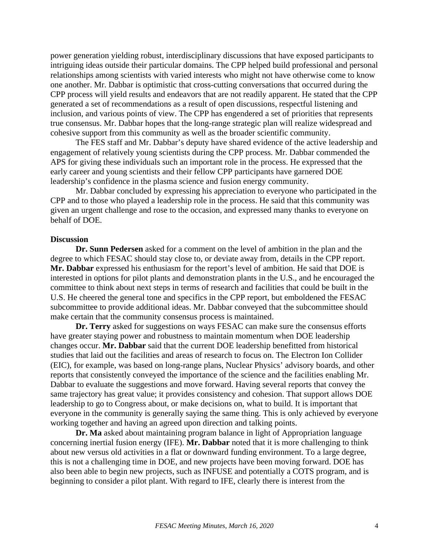power generation yielding robust, interdisciplinary discussions that have exposed participants to intriguing ideas outside their particular domains. The CPP helped build professional and personal relationships among scientists with varied interests who might not have otherwise come to know one another. Mr. Dabbar is optimistic that cross-cutting conversations that occurred during the CPP process will yield results and endeavors that are not readily apparent. He stated that the CPP generated a set of recommendations as a result of open discussions, respectful listening and inclusion, and various points of view. The CPP has engendered a set of priorities that represents true consensus. Mr. Dabbar hopes that the long-range strategic plan will realize widespread and cohesive support from this community as well as the broader scientific community.

The FES staff and Mr. Dabbar's deputy have shared evidence of the active leadership and engagement of relatively young scientists during the CPP process. Mr. Dabbar commended the APS for giving these individuals such an important role in the process. He expressed that the early career and young scientists and their fellow CPP participants have garnered DOE leadership's confidence in the plasma science and fusion energy community.

Mr. Dabbar concluded by expressing his appreciation to everyone who participated in the CPP and to those who played a leadership role in the process. He said that this community was given an urgent challenge and rose to the occasion, and expressed many thanks to everyone on behalf of DOE.

#### **Discussion**

**Dr. Sunn Pedersen** asked for a comment on the level of ambition in the plan and the degree to which FESAC should stay close to, or deviate away from, details in the CPP report. **Mr. Dabbar** expressed his enthusiasm for the report's level of ambition. He said that DOE is interested in options for pilot plants and demonstration plants in the U.S., and he encouraged the committee to think about next steps in terms of research and facilities that could be built in the U.S. He cheered the general tone and specifics in the CPP report, but emboldened the FESAC subcommittee to provide additional ideas. Mr. Dabbar conveyed that the subcommittee should make certain that the community consensus process is maintained.

**Dr. Terry** asked for suggestions on ways FESAC can make sure the consensus efforts have greater staying power and robustness to maintain momentum when DOE leadership changes occur. **Mr. Dabbar** said that the current DOE leadership benefitted from historical studies that laid out the facilities and areas of research to focus on. The Electron Ion Collider (EIC), for example, was based on long-range plans, Nuclear Physics' advisory boards, and other reports that consistently conveyed the importance of the science and the facilities enabling Mr. Dabbar to evaluate the suggestions and move forward. Having several reports that convey the same trajectory has great value; it provides consistency and cohesion. That support allows DOE leadership to go to Congress about, or make decisions on, what to build. It is important that everyone in the community is generally saying the same thing. This is only achieved by everyone working together and having an agreed upon direction and talking points.

**Dr. Ma** asked about maintaining program balance in light of Appropriation language concerning inertial fusion energy (IFE). **Mr. Dabbar** noted that it is more challenging to think about new versus old activities in a flat or downward funding environment. To a large degree, this is not a challenging time in DOE, and new projects have been moving forward. DOE has also been able to begin new projects, such as INFUSE and potentially a COTS program, and is beginning to consider a pilot plant. With regard to IFE, clearly there is interest from the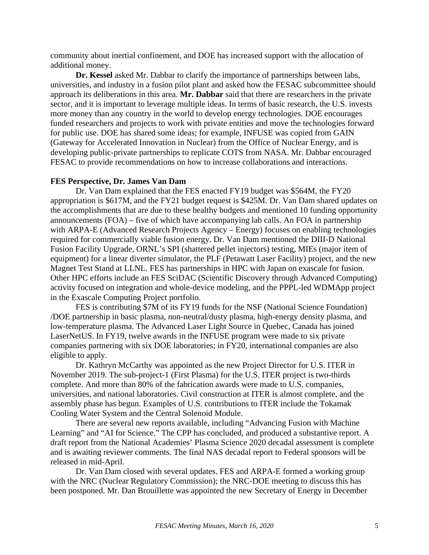community about inertial confinement, and DOE has increased support with the allocation of additional money.

**Dr. Kessel** asked Mr. Dabbar to clarify the importance of partnerships between labs, universities, and industry in a fusion pilot plant and asked how the FESAC subcommittee should approach its deliberations in this area. **Mr. Dabbar** said that there are researchers in the private sector, and it is important to leverage multiple ideas. In terms of basic research, the U.S. invests more money than any country in the world to develop energy technologies. DOE encourages funded researchers and projects to work with private entities and move the technologies forward for public use. DOE has shared some ideas; for example, INFUSE was copied from GAIN (Gateway for Accelerated Innovation in Nuclear) from the Office of Nuclear Energy, and is developing public-private partnerships to replicate COTS from NASA. Mr. Dabbar encouraged FESAC to provide recommendations on how to increase collaborations and interactions.

#### **FES Perspective, Dr. James Van Dam**

Dr. Van Dam explained that the FES enacted FY19 budget was \$564M, the FY20 appropriation is \$617M, and the FY21 budget request is \$425M. Dr. Van Dam shared updates on the accomplishments that are due to these healthy budgets and mentioned 10 funding opportunity announcements (FOA) – five of which have accompanying lab calls. An FOA in partnership with ARPA-E (Advanced Research Projects Agency – Energy) focuses on enabling technologies required for commercially viable fusion energy. Dr. Van Dam mentioned the DIII-D National Fusion Facility Upgrade, ORNL's SPI (shattered pellet injectors) testing, MIEs (major item of equipment) for a linear diverter simulator, the PLF (Petawatt Laser Facility) project, and the new Magnet Test Stand at LLNL. FES has partnerships in HPC with Japan on exascale for fusion. Other HPC efforts include an FES SciDAC (Scientific Discovery through Advanced Computing) activity focused on integration and whole-device modeling, and the PPPL-led WDMApp project in the Exascale Computing Project portfolio.

FES is contributing \$7M of its FY19 funds for the NSF (National Science Foundation) /DOE partnership in basic plasma, non-neutral/dusty plasma, high-energy density plasma, and low-temperature plasma. The Advanced Laser Light Source in Quebec, Canada has joined LaserNetUS. In FY19, twelve awards in the INFUSE program were made to six private companies partnering with six DOE laboratories; in FY20, international companies are also eligible to apply.

Dr. Kathryn McCarthy was appointed as the new Project Director for U.S. ITER in November 2019. The sub-project-1 (First Plasma) for the U.S. ITER project is two-thirds complete. And more than 80% of the fabrication awards were made to U.S. companies, universities, and national laboratories. Civil construction at ITER is almost complete, and the assembly phase has begun. Examples of U.S. contributions to ITER include the Tokamak Cooling Water System and the Central Solenoid Module.

There are several new reports available, including "Advancing Fusion with Machine Learning" and "AI for Science." The CPP has concluded, and produced a substantive report. A draft report from the National Academies' Plasma Science 2020 decadal assessment is complete and is awaiting reviewer comments. The final NAS decadal report to Federal sponsors will be released in mid-April.

Dr. Van Dam closed with several updates. FES and ARPA-E formed a working group with the NRC (Nuclear Regulatory Commission); the NRC-DOE meeting to discuss this has been postponed. Mr. Dan Brouillette was appointed the new Secretary of Energy in December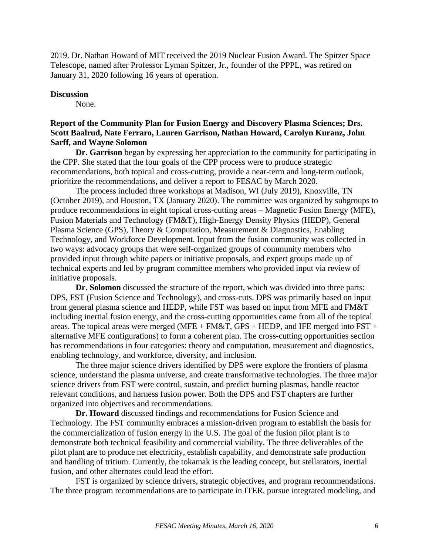2019. Dr. Nathan Howard of MIT received the 2019 Nuclear Fusion Award. The Spitzer Space Telescope, named after Professor Lyman Spitzer, Jr., founder of the PPPL, was retired on January 31, 2020 following 16 years of operation.

### **Discussion**

None.

# **Report of the Community Plan for Fusion Energy and Discovery Plasma Sciences; Drs. Scott Baalrud, Nate Ferraro, Lauren Garrison, Nathan Howard, Carolyn Kuranz, John Sarff, and Wayne Solomon**

**Dr. Garrison** began by expressing her appreciation to the community for participating in the CPP. She stated that the four goals of the CPP process were to produce strategic recommendations, both topical and cross-cutting, provide a near-term and long-term outlook, prioritize the recommendations, and deliver a report to FESAC by March 2020.

The process included three workshops at Madison, WI (July 2019), Knoxville, TN (October 2019), and Houston, TX (January 2020). The committee was organized by subgroups to produce recommendations in eight topical cross-cutting areas – Magnetic Fusion Energy (MFE), Fusion Materials and Technology (FM&T), High-Energy Density Physics (HEDP), General Plasma Science (GPS), Theory & Computation, Measurement & Diagnostics, Enabling Technology, and Workforce Development. Input from the fusion community was collected in two ways: advocacy groups that were self-organized groups of community members who provided input through white papers or initiative proposals, and expert groups made up of technical experts and led by program committee members who provided input via review of initiative proposals.

**Dr. Solomon** discussed the structure of the report, which was divided into three parts: DPS, FST (Fusion Science and Technology), and cross-cuts. DPS was primarily based on input from general plasma science and HEDP, while FST was based on input from MFE and FM&T including inertial fusion energy, and the cross-cutting opportunities came from all of the topical areas. The topical areas were merged (MFE + FM&T, GPS + HEDP, and IFE merged into FST + alternative MFE configurations) to form a coherent plan. The cross-cutting opportunities section has recommendations in four categories: theory and computation, measurement and diagnostics, enabling technology, and workforce, diversity, and inclusion.

The three major science drivers identified by DPS were explore the frontiers of plasma science, understand the plasma universe, and create transformative technologies. The three major science drivers from FST were control, sustain, and predict burning plasmas, handle reactor relevant conditions, and harness fusion power. Both the DPS and FST chapters are further organized into objectives and recommendations.

**Dr. Howard** discussed findings and recommendations for Fusion Science and Technology. The FST community embraces a mission-driven program to establish the basis for the commercialization of fusion energy in the U.S. The goal of the fusion pilot plant is to demonstrate both technical feasibility and commercial viability. The three deliverables of the pilot plant are to produce net electricity, establish capability, and demonstrate safe production and handling of tritium. Currently, the tokamak is the leading concept, but stellarators, inertial fusion, and other alternates could lead the effort.

FST is organized by science drivers, strategic objectives, and program recommendations. The three program recommendations are to participate in ITER, pursue integrated modeling, and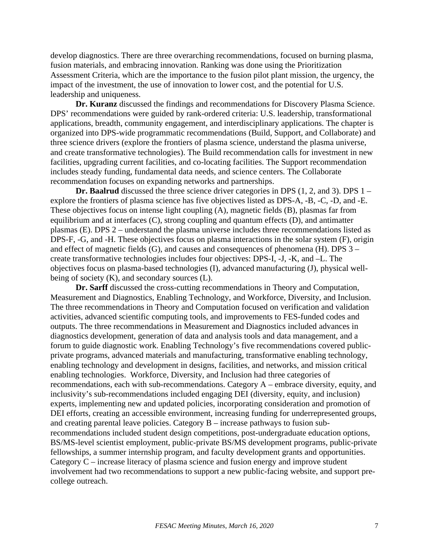develop diagnostics. There are three overarching recommendations, focused on burning plasma, fusion materials, and embracing innovation. Ranking was done using the Prioritization Assessment Criteria, which are the importance to the fusion pilot plant mission, the urgency, the impact of the investment, the use of innovation to lower cost, and the potential for U.S. leadership and uniqueness.

**Dr. Kuranz** discussed the findings and recommendations for Discovery Plasma Science. DPS' recommendations were guided by rank-ordered criteria: U.S. leadership, transformational applications, breadth, community engagement, and interdisciplinary applications. The chapter is organized into DPS-wide programmatic recommendations (Build, Support, and Collaborate) and three science drivers (explore the frontiers of plasma science, understand the plasma universe, and create transformative technologies). The Build recommendation calls for investment in new facilities, upgrading current facilities, and co-locating facilities. The Support recommendation includes steady funding, fundamental data needs, and science centers. The Collaborate recommendation focuses on expanding networks and partnerships.

**Dr. Baalrud** discussed the three science driver categories in DPS (1, 2, and 3). DPS 1 – explore the frontiers of plasma science has five objectives listed as DPS-A, -B, -C, -D, and -E. These objectives focus on intense light coupling (A), magnetic fields (B), plasmas far from equilibrium and at interfaces (C), strong coupling and quantum effects (D), and antimatter plasmas (E). DPS 2 – understand the plasma universe includes three recommendations listed as DPS-F, -G, and -H. These objectives focus on plasma interactions in the solar system (F), origin and effect of magnetic fields (G), and causes and consequences of phenomena (H). DPS 3 – create transformative technologies includes four objectives: DPS-I, -J, -K, and –L. The objectives focus on plasma-based technologies (I), advanced manufacturing (J), physical wellbeing of society (K), and secondary sources (L).

**Dr. Sarff** discussed the cross-cutting recommendations in Theory and Computation, Measurement and Diagnostics, Enabling Technology, and Workforce, Diversity, and Inclusion. The three recommendations in Theory and Computation focused on verification and validation activities, advanced scientific computing tools, and improvements to FES-funded codes and outputs. The three recommendations in Measurement and Diagnostics included advances in diagnostics development, generation of data and analysis tools and data management, and a forum to guide diagnostic work. Enabling Technology's five recommendations covered publicprivate programs, advanced materials and manufacturing, transformative enabling technology, enabling technology and development in designs, facilities, and networks, and mission critical enabling technologies. Workforce, Diversity, and Inclusion had three categories of recommendations, each with sub-recommendations. Category A – embrace diversity, equity, and inclusivity's sub-recommendations included engaging DEI (diversity, equity, and inclusion) experts, implementing new and updated policies, incorporating consideration and promotion of DEI efforts, creating an accessible environment, increasing funding for underrepresented groups, and creating parental leave policies. Category B – increase pathways to fusion subrecommendations included student design competitions, post-undergraduate education options, BS/MS-level scientist employment, public-private BS/MS development programs, public-private fellowships, a summer internship program, and faculty development grants and opportunities. Category C – increase literacy of plasma science and fusion energy and improve student involvement had two recommendations to support a new public-facing website, and support precollege outreach.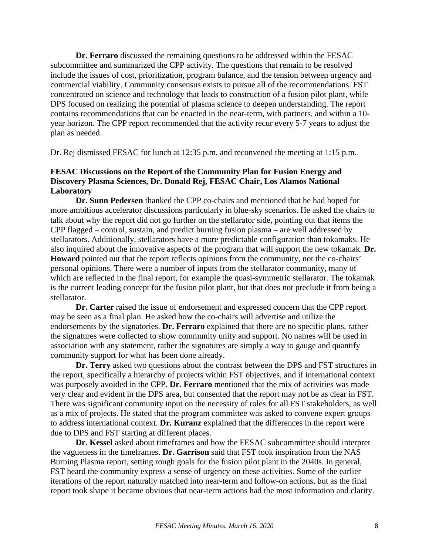**Dr. Ferraro** discussed the remaining questions to be addressed within the FESAC subcommittee and summarized the CPP activity. The questions that remain to be resolved include the issues of cost, prioritization, program balance, and the tension between urgency and commercial viability. Community consensus exists to pursue all of the recommendations. FST concentrated on science and technology that leads to construction of a fusion pilot plant, while DPS focused on realizing the potential of plasma science to deepen understanding. The report contains recommendations that can be enacted in the near-term, with partners, and within a 10 year horizon. The CPP report recommended that the activity recur every 5-7 years to adjust the plan as needed.

Dr. Rej dismissed FESAC for lunch at 12:35 p.m. and reconvened the meeting at 1:15 p.m.

# **FESAC Discussions on the Report of the Community Plan for Fusion Energy and Discovery Plasma Sciences, Dr. Donald Rej, FESAC Chair, Los Alamos National Laboratory**

**Dr. Sunn Pedersen** thanked the CPP co-chairs and mentioned that he had hoped for more ambitious accelerator discussions particularly in blue-sky scenarios. He asked the chairs to talk about why the report did not go further on the stellarator side, pointing out that items the CPP flagged – control, sustain, and predict burning fusion plasma – are well addressed by stellarators. Additionally, stellarators have a more predictable configuration than tokamaks. He also inquired about the innovative aspects of the program that will support the new tokamak. **Dr. Howard** pointed out that the report reflects opinions from the community, not the co-chairs' personal opinions. There were a number of inputs from the stellarator community, many of which are reflected in the final report, for example the quasi-symmetric stellarator. The tokamak is the current leading concept for the fusion pilot plant, but that does not preclude it from being a stellarator.

**Dr. Carter** raised the issue of endorsement and expressed concern that the CPP report may be seen as a final plan. He asked how the co-chairs will advertise and utilize the endorsements by the signatories. **Dr. Ferraro** explained that there are no specific plans, rather the signatures were collected to show community unity and support. No names will be used in association with any statement, rather the signatures are simply a way to gauge and quantify community support for what has been done already.

**Dr. Terry** asked two questions about the contrast between the DPS and FST structures in the report, specifically a hierarchy of projects within FST objectives, and if international context was purposely avoided in the CPP. **Dr. Ferraro** mentioned that the mix of activities was made very clear and evident in the DPS area, but consented that the report may not be as clear in FST. There was significant community input on the necessity of roles for all FST stakeholders, as well as a mix of projects. He stated that the program committee was asked to convene expert groups to address international context. **Dr. Kuranz** explained that the differences in the report were due to DPS and FST starting at different places.

**Dr. Kessel** asked about timeframes and how the FESAC subcommittee should interpret the vagueness in the timeframes. **Dr. Garrison** said that FST took inspiration from the NAS Burning Plasma report, setting rough goals for the fusion pilot plant in the 2040s. In general, FST heard the community express a sense of urgency on these activities. Some of the earlier iterations of the report naturally matched into near-term and follow-on actions, but as the final report took shape it became obvious that near-term actions had the most information and clarity.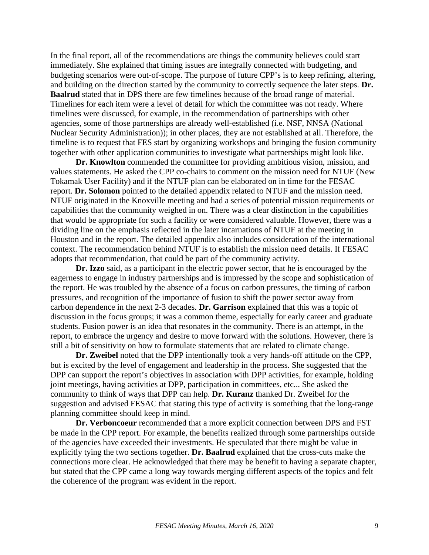In the final report, all of the recommendations are things the community believes could start immediately. She explained that timing issues are integrally connected with budgeting, and budgeting scenarios were out-of-scope. The purpose of future CPP's is to keep refining, altering, and building on the direction started by the community to correctly sequence the later steps. **Dr. Baalrud** stated that in DPS there are few timelines because of the broad range of material. Timelines for each item were a level of detail for which the committee was not ready. Where timelines were discussed, for example, in the recommendation of partnerships with other agencies, some of those partnerships are already well-established (i.e. NSF, NNSA (National Nuclear Security Administration)); in other places, they are not established at all. Therefore, the timeline is to request that FES start by organizing workshops and bringing the fusion community together with other application communities to investigate what partnerships might look like.

**Dr. Knowlton** commended the committee for providing ambitious vision, mission, and values statements. He asked the CPP co-chairs to comment on the mission need for NTUF (New Tokamak User Facility) and if the NTUF plan can be elaborated on in time for the FESAC report. **Dr. Solomon** pointed to the detailed appendix related to NTUF and the mission need. NTUF originated in the Knoxville meeting and had a series of potential mission requirements or capabilities that the community weighed in on. There was a clear distinction in the capabilities that would be appropriate for such a facility or were considered valuable. However, there was a dividing line on the emphasis reflected in the later incarnations of NTUF at the meeting in Houston and in the report. The detailed appendix also includes consideration of the international context. The recommendation behind NTUF is to establish the mission need details. If FESAC adopts that recommendation, that could be part of the community activity.

**Dr. Izzo** said, as a participant in the electric power sector, that he is encouraged by the eagerness to engage in industry partnerships and is impressed by the scope and sophistication of the report. He was troubled by the absence of a focus on carbon pressures, the timing of carbon pressures, and recognition of the importance of fusion to shift the power sector away from carbon dependence in the next 2-3 decades. **Dr. Garrison** explained that this was a topic of discussion in the focus groups; it was a common theme, especially for early career and graduate students. Fusion power is an idea that resonates in the community. There is an attempt, in the report, to embrace the urgency and desire to move forward with the solutions. However, there is still a bit of sensitivity on how to formulate statements that are related to climate change.

**Dr. Zweibel** noted that the DPP intentionally took a very hands-off attitude on the CPP, but is excited by the level of engagement and leadership in the process. She suggested that the DPP can support the report's objectives in association with DPP activities, for example, holding joint meetings, having activities at DPP, participation in committees, etc... She asked the community to think of ways that DPP can help. **Dr. Kuranz** thanked Dr. Zweibel for the suggestion and advised FESAC that stating this type of activity is something that the long-range planning committee should keep in mind.

**Dr. Verboncoeur** recommended that a more explicit connection between DPS and FST be made in the CPP report. For example, the benefits realized through some partnerships outside of the agencies have exceeded their investments. He speculated that there might be value in explicitly tying the two sections together. **Dr. Baalrud** explained that the cross-cuts make the connections more clear. He acknowledged that there may be benefit to having a separate chapter, but stated that the CPP came a long way towards merging different aspects of the topics and felt the coherence of the program was evident in the report.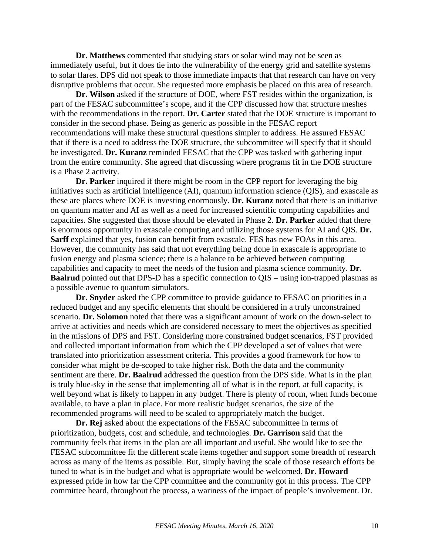**Dr. Matthews** commented that studying stars or solar wind may not be seen as immediately useful, but it does tie into the vulnerability of the energy grid and satellite systems to solar flares. DPS did not speak to those immediate impacts that that research can have on very disruptive problems that occur. She requested more emphasis be placed on this area of research.

**Dr. Wilson** asked if the structure of DOE, where FST resides within the organization, is part of the FESAC subcommittee's scope, and if the CPP discussed how that structure meshes with the recommendations in the report. **Dr. Carter** stated that the DOE structure is important to consider in the second phase. Being as generic as possible in the FESAC report recommendations will make these structural questions simpler to address. He assured FESAC that if there is a need to address the DOE structure, the subcommittee will specify that it should be investigated. **Dr. Kuranz** reminded FESAC that the CPP was tasked with gathering input from the entire community. She agreed that discussing where programs fit in the DOE structure is a Phase 2 activity.

**Dr. Parker** inquired if there might be room in the CPP report for leveraging the big initiatives such as artificial intelligence (AI), quantum information science (QIS), and exascale as these are places where DOE is investing enormously. **Dr. Kuranz** noted that there is an initiative on quantum matter and AI as well as a need for increased scientific computing capabilities and capacities. She suggested that those should be elevated in Phase 2. **Dr. Parker** added that there is enormous opportunity in exascale computing and utilizing those systems for AI and QIS. **Dr. Sarff** explained that yes, fusion can benefit from exascale. FES has new FOAs in this area. However, the community has said that not everything being done in exascale is appropriate to fusion energy and plasma science; there is a balance to be achieved between computing capabilities and capacity to meet the needs of the fusion and plasma science community. **Dr. Baalrud** pointed out that DPS-D has a specific connection to QIS – using ion-trapped plasmas as a possible avenue to quantum simulators.

**Dr. Snyder** asked the CPP committee to provide guidance to FESAC on priorities in a reduced budget and any specific elements that should be considered in a truly unconstrained scenario. **Dr. Solomon** noted that there was a significant amount of work on the down-select to arrive at activities and needs which are considered necessary to meet the objectives as specified in the missions of DPS and FST. Considering more constrained budget scenarios, FST provided and collected important information from which the CPP developed a set of values that were translated into prioritization assessment criteria. This provides a good framework for how to consider what might be de-scoped to take higher risk. Both the data and the community sentiment are there. **Dr. Baalrud** addressed the question from the DPS side. What is in the plan is truly blue-sky in the sense that implementing all of what is in the report, at full capacity, is well beyond what is likely to happen in any budget. There is plenty of room, when funds become available, to have a plan in place. For more realistic budget scenarios, the size of the recommended programs will need to be scaled to appropriately match the budget.

**Dr. Rej** asked about the expectations of the FESAC subcommittee in terms of prioritization, budgets, cost and schedule, and technologies. **Dr. Garrison** said that the community feels that items in the plan are all important and useful. She would like to see the FESAC subcommittee fit the different scale items together and support some breadth of research across as many of the items as possible. But, simply having the scale of those research efforts be tuned to what is in the budget and what is appropriate would be welcomed. **Dr. Howard** expressed pride in how far the CPP committee and the community got in this process. The CPP committee heard, throughout the process, a wariness of the impact of people's involvement. Dr.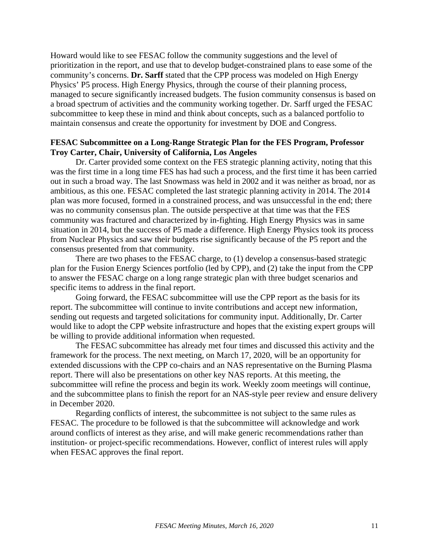Howard would like to see FESAC follow the community suggestions and the level of prioritization in the report, and use that to develop budget-constrained plans to ease some of the community's concerns. **Dr. Sarff** stated that the CPP process was modeled on High Energy Physics' P5 process. High Energy Physics, through the course of their planning process, managed to secure significantly increased budgets. The fusion community consensus is based on a broad spectrum of activities and the community working together. Dr. Sarff urged the FESAC subcommittee to keep these in mind and think about concepts, such as a balanced portfolio to maintain consensus and create the opportunity for investment by DOE and Congress.

### **FESAC Subcommittee on a Long-Range Strategic Plan for the FES Program, Professor Troy Carter, Chair, University of California, Los Angeles**

Dr. Carter provided some context on the FES strategic planning activity, noting that this was the first time in a long time FES has had such a process, and the first time it has been carried out in such a broad way. The last Snowmass was held in 2002 and it was neither as broad, nor as ambitious, as this one. FESAC completed the last strategic planning activity in 2014. The 2014 plan was more focused, formed in a constrained process, and was unsuccessful in the end; there was no community consensus plan. The outside perspective at that time was that the FES community was fractured and characterized by in-fighting. High Energy Physics was in same situation in 2014, but the success of P5 made a difference. High Energy Physics took its process from Nuclear Physics and saw their budgets rise significantly because of the P5 report and the consensus presented from that community.

There are two phases to the FESAC charge, to (1) develop a consensus-based strategic plan for the Fusion Energy Sciences portfolio (led by CPP), and (2) take the input from the CPP to answer the FESAC charge on a long range strategic plan with three budget scenarios and specific items to address in the final report.

Going forward, the FESAC subcommittee will use the CPP report as the basis for its report. The subcommittee will continue to invite contributions and accept new information, sending out requests and targeted solicitations for community input. Additionally, Dr. Carter would like to adopt the CPP website infrastructure and hopes that the existing expert groups will be willing to provide additional information when requested.

The FESAC subcommittee has already met four times and discussed this activity and the framework for the process. The next meeting, on March 17, 2020, will be an opportunity for extended discussions with the CPP co-chairs and an NAS representative on the Burning Plasma report. There will also be presentations on other key NAS reports. At this meeting, the subcommittee will refine the process and begin its work. Weekly zoom meetings will continue, and the subcommittee plans to finish the report for an NAS-style peer review and ensure delivery in December 2020.

Regarding conflicts of interest, the subcommittee is not subject to the same rules as FESAC. The procedure to be followed is that the subcommittee will acknowledge and work around conflicts of interest as they arise, and will make generic recommendations rather than institution- or project-specific recommendations. However, conflict of interest rules will apply when FESAC approves the final report.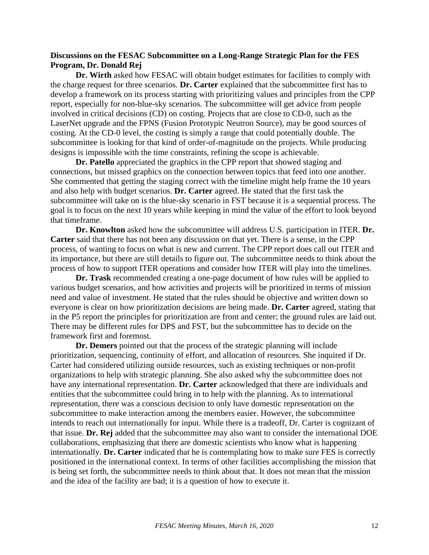## **Discussions on the FESAC Subcommittee on a Long-Range Strategic Plan for the FES Program, Dr. Donald Rej**

**Dr. Wirth** asked how FESAC will obtain budget estimates for facilities to comply with the charge request for three scenarios. **Dr. Carter** explained that the subcommittee first has to develop a framework on its process starting with prioritizing values and principles from the CPP report, especially for non-blue-sky scenarios. The subcommittee will get advice from people involved in critical decisions (CD) on costing. Projects that are close to CD-0, such as the LaserNet upgrade and the FPNS (Fusion Prototypic Neutron Source), may be good sources of costing. At the CD-0 level, the costing is simply a range that could potentially double. The subcommittee is looking for that kind of order-of-magnitude on the projects. While producing designs is impossible with the time constraints, refining the scope is achievable.

**Dr. Patello** appreciated the graphics in the CPP report that showed staging and connections, but missed graphics on the connection between topics that feed into one another. She commented that getting the staging correct with the timeline might help frame the 10 years and also help with budget scenarios. **Dr. Carter** agreed. He stated that the first task the subcommittee will take on is the blue-sky scenario in FST because it is a sequential process. The goal is to focus on the next 10 years while keeping in mind the value of the effort to look beyond that timeframe.

**Dr. Knowlton** asked how the subcommittee will address U.S. participation in ITER. **Dr. Carter** said that there has not been any discussion on that yet. There is a sense, in the CPP process, of wanting to focus on what is new and current. The CPP report does call out ITER and its importance, but there are still details to figure out. The subcommittee needs to think about the process of how to support ITER operations and consider how ITER will play into the timelines.

**Dr. Trask** recommended creating a one-page document of how rules will be applied to various budget scenarios, and how activities and projects will be prioritized in terms of mission need and value of investment. He stated that the rules should be objective and written down so everyone is clear on how prioritization decisions are being made. **Dr. Carter** agreed, stating that in the P5 report the principles for prioritization are front and center; the ground rules are laid out. There may be different rules for DPS and FST, but the subcommittee has to decide on the framework first and foremost.

**Dr. Demers** pointed out that the process of the strategic planning will include prioritization, sequencing, continuity of effort, and allocation of resources. She inquired if Dr. Carter had considered utilizing outside resources, such as existing techniques or non-profit organizations to help with strategic planning. She also asked why the subcommittee does not have any international representation. **Dr. Carter** acknowledged that there are individuals and entities that the subcommittee could bring in to help with the planning. As to international representation, there was a conscious decision to only have domestic representation on the subcommittee to make interaction among the members easier. However, the subcommittee intends to reach out internationally for input. While there is a tradeoff, Dr. Carter is cognizant of that issue. **Dr. Rej** added that the subcommittee may also want to consider the international DOE collaborations, emphasizing that there are domestic scientists who know what is happening internationally. **Dr. Carter** indicated that he is contemplating how to make sure FES is correctly positioned in the international context. In terms of other facilities accomplishing the mission that is being set forth, the subcommittee needs to think about that. It does not mean that the mission and the idea of the facility are bad; it is a question of how to execute it.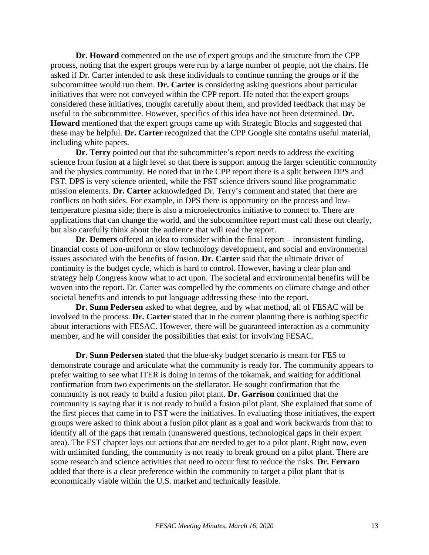**Dr. Howard** commented on the use of expert groups and the structure from the CPP process, noting that the expert groups were run by a large number of people, not the chairs. He asked if Dr. Carter intended to ask these individuals to continue running the groups or if the subcommittee would run them. **Dr. Carter** is considering asking questions about particular initiatives that were not conveyed within the CPP report. He noted that the expert groups considered these initiatives, thought carefully about them, and provided feedback that may be useful to the subcommittee. However, specifics of this idea have not been determined. **Dr. Howard** mentioned that the expert groups came up with Strategic Blocks and suggested that these may be helpful. **Dr. Carter** recognized that the CPP Google site contains useful material, including white papers.

**Dr. Terry** pointed out that the subcommittee's report needs to address the exciting science from fusion at a high level so that there is support among the larger scientific community and the physics community. He noted that in the CPP report there is a split between DPS and FST. DPS is very science oriented, while the FST science drivers sound like programmatic mission elements. **Dr. Carter** acknowledged Dr. Terry's comment and stated that there are conflicts on both sides. For example, in DPS there is opportunity on the process and lowtemperature plasma side; there is also a microelectronics initiative to connect to. There are applications that can change the world, and the subcommittee report must call these out clearly, but also carefully think about the audience that will read the report.

**Dr. Demers** offered an idea to consider within the final report – inconsistent funding, financial costs of non-uniform or slow technology development, and social and environmental issues associated with the benefits of fusion. **Dr. Carter** said that the ultimate driver of continuity is the budget cycle, which is hard to control. However, having a clear plan and strategy help Congress know what to act upon. The societal and environmental benefits will be woven into the report. Dr. Carter was compelled by the comments on climate change and other societal benefits and intends to put language addressing these into the report.

**Dr. Sunn Pedersen** asked to what degree, and by what method, all of FESAC will be involved in the process. **Dr. Carter** stated that in the current planning there is nothing specific about interactions with FESAC. However, there will be guaranteed interaction as a community member, and he will consider the possibilities that exist for involving FESAC.

**Dr. Sunn Pedersen** stated that the blue-sky budget scenario is meant for FES to demonstrate courage and articulate what the community is ready for. The community appears to prefer waiting to see what ITER is doing in terms of the tokamak, and waiting for additional confirmation from two experiments on the stellarator. He sought confirmation that the community is not ready to build a fusion pilot plant. **Dr. Garrison** confirmed that the community is saying that it is not ready to build a fusion pilot plant. She explained that some of the first pieces that came in to FST were the initiatives. In evaluating those initiatives, the expert groups were asked to think about a fusion pilot plant as a goal and work backwards from that to identify all of the gaps that remain (unanswered questions, technological gaps in their expert area). The FST chapter lays out actions that are needed to get to a pilot plant. Right now, even with unlimited funding, the community is not ready to break ground on a pilot plant. There are some research and science activities that need to occur first to reduce the risks. **Dr. Ferraro** added that there is a clear preference within the community to target a pilot plant that is economically viable within the U.S. market and technically feasible.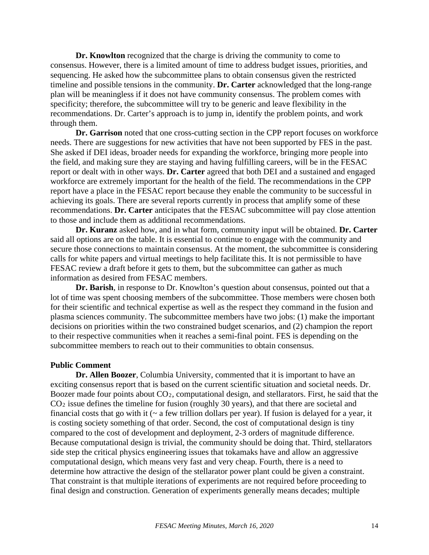**Dr. Knowlton** recognized that the charge is driving the community to come to consensus. However, there is a limited amount of time to address budget issues, priorities, and sequencing. He asked how the subcommittee plans to obtain consensus given the restricted timeline and possible tensions in the community. **Dr. Carter** acknowledged that the long-range plan will be meaningless if it does not have community consensus. The problem comes with specificity; therefore, the subcommittee will try to be generic and leave flexibility in the recommendations. Dr. Carter's approach is to jump in, identify the problem points, and work through them.

**Dr. Garrison** noted that one cross-cutting section in the CPP report focuses on workforce needs. There are suggestions for new activities that have not been supported by FES in the past. She asked if DEI ideas, broader needs for expanding the workforce, bringing more people into the field, and making sure they are staying and having fulfilling careers, will be in the FESAC report or dealt with in other ways. **Dr. Carter** agreed that both DEI and a sustained and engaged workforce are extremely important for the health of the field. The recommendations in the CPP report have a place in the FESAC report because they enable the community to be successful in achieving its goals. There are several reports currently in process that amplify some of these recommendations. **Dr. Carter** anticipates that the FESAC subcommittee will pay close attention to those and include them as additional recommendations.

**Dr. Kuranz** asked how, and in what form, community input will be obtained. **Dr. Carter** said all options are on the table. It is essential to continue to engage with the community and secure those connections to maintain consensus. At the moment, the subcommittee is considering calls for white papers and virtual meetings to help facilitate this. It is not permissible to have FESAC review a draft before it gets to them, but the subcommittee can gather as much information as desired from FESAC members.

**Dr. Barish**, in response to Dr. Knowlton's question about consensus, pointed out that a lot of time was spent choosing members of the subcommittee. Those members were chosen both for their scientific and technical expertise as well as the respect they command in the fusion and plasma sciences community. The subcommittee members have two jobs: (1) make the important decisions on priorities within the two constrained budget scenarios, and (2) champion the report to their respective communities when it reaches a semi-final point. FES is depending on the subcommittee members to reach out to their communities to obtain consensus.

#### **Public Comment**

**Dr. Allen Boozer**, Columbia University, commented that it is important to have an exciting consensus report that is based on the current scientific situation and societal needs. Dr. Boozer made four points about CO2, computational design, and stellarators. First, he said that the CO2 issue defines the timeline for fusion (roughly 30 years), and that there are societal and financial costs that go with it  $(\sim a$  few trillion dollars per year). If fusion is delayed for a year, it is costing society something of that order. Second, the cost of computational design is tiny compared to the cost of development and deployment, 2-3 orders of magnitude difference. Because computational design is trivial, the community should be doing that. Third, stellarators side step the critical physics engineering issues that tokamaks have and allow an aggressive computational design, which means very fast and very cheap. Fourth, there is a need to determine how attractive the design of the stellarator power plant could be given a constraint. That constraint is that multiple iterations of experiments are not required before proceeding to final design and construction. Generation of experiments generally means decades; multiple